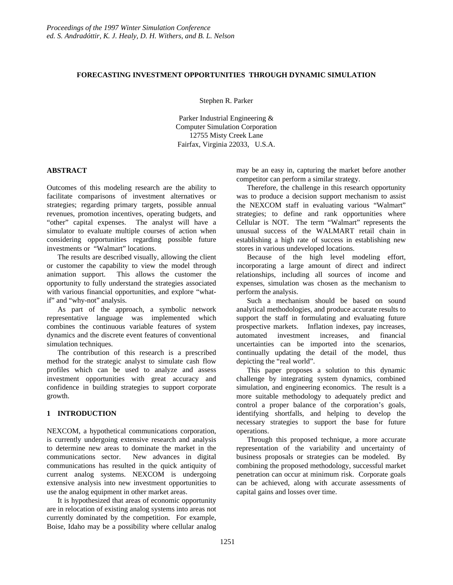# **FORECASTING INVESTMENT OPPORTUNITIES THROUGH DYNAMIC SIMULATION**

Stephen R. Parker

Parker Industrial Engineering & Computer Simulation Corporation 12755 Misty Creek Lane Fairfax, Virginia 22033, U.S.A.

# **ABSTRACT**

Outcomes of this modeling research are the ability to facilitate comparisons of investment alternatives or strategies; regarding primary targets, possible annual revenues, promotion incentives, operating budgets, and "other" capital expenses. The analyst will have a simulator to evaluate multiple courses of action when considering opportunities regarding possible future investments or "Walmart" locations.

The results are described visually, allowing the client or customer the capability to view the model through animation support. This allows the customer the opportunity to fully understand the strategies associated with various financial opportunities, and explore "whatif" and "why-not" analysis.

As part of the approach, a symbolic network representative language was implemented which combines the continuous variable features of system dynamics and the discrete event features of conventional simulation techniques.

The contribution of this research is a prescribed method for the strategic analyst to simulate cash flow profiles which can be used to analyze and assess investment opportunities with great accuracy and confidence in building strategies to support corporate growth.

# **1 INTRODUCTION**

NEXCOM, a hypothetical communications corporation, is currently undergoing extensive research and analysis to determine new areas to dominate the market in the communications sector. New advances in digital communications has resulted in the quick antiquity of current analog systems. NEXCOM is undergoing extensive analysis into new investment opportunities to use the analog equipment in other market areas.

It is hypothesized that areas of economic opportunity are in relocation of existing analog systems into areas not currently dominated by the competition. For example, Boise, Idaho may be a possibility where cellular analog may be an easy in, capturing the market before another competitor can perform a similar strategy.

Therefore, the challenge in this research opportunity was to produce a decision support mechanism to assist the NEXCOM staff in evaluating various "Walmart" strategies; to define and rank opportunities where Cellular is NOT. The term "Walmart" represents the unusual success of the WALMART retail chain in establishing a high rate of success in establishing new stores in various undeveloped locations.

Because of the high level modeling effort, incorporating a large amount of direct and indirect relationships, including all sources of income and expenses, simulation was chosen as the mechanism to perform the analysis.

Such a mechanism should be based on sound analytical methodologies, and produce accurate results to support the staff in formulating and evaluating future prospective markets. Inflation indexes, pay increases, automated investment increases, and financial uncertainties can be imported into the scenarios, continually updating the detail of the model, thus depicting the "real world".

This paper proposes a solution to this dynamic challenge by integrating system dynamics, combined simulation, and engineering economics. The result is a more suitable methodology to adequately predict and control a proper balance of the corporation's goals, identifying shortfalls, and helping to develop the necessary strategies to support the base for future operations.

Through this proposed technique, a more accurate representation of the variability and uncertainty of business proposals or strategies can be modeled. By combining the proposed methodology, successful market penetration can occur at minimum risk. Corporate goals can be achieved, along with accurate assessments of capital gains and losses over time.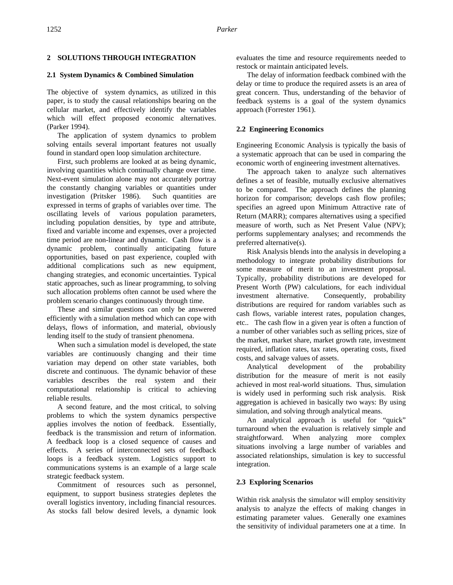# **2 SOLUTIONS THROUGH INTEGRATION**

# **2.1 System Dynamics & Combined Simulation**

The objective of system dynamics, as utilized in this paper, is to study the causal relationships bearing on the cellular market, and effectively identify the variables which will effect proposed economic alternatives. (Parker 1994).

The application of system dynamics to problem solving entails several important features not usually found in standard open loop simulation architecture.

First, such problems are looked at as being dynamic, involving quantities which continually change over time. Next-event simulation alone may not accurately portray the constantly changing variables or quantities under investigation (Pritsker 1986). Such quantities are expressed in terms of graphs of variables over time. The oscillating levels of various population parameters, including population densities, by type and attribute, fixed and variable income and expenses, over a projected time period are non-linear and dynamic. Cash flow is a dynamic problem, continually anticipating future opportunities, based on past experience, coupled with additional complications such as new equipment, changing strategies, and economic uncertainties. Typical static approaches, such as linear programming, to solving such allocation problems often cannot be used where the problem scenario changes continuously through time.

These and similar questions can only be answered efficiently with a simulation method which can cope with delays, flows of information, and material, obviously lending itself to the study of transient phenomena.

When such a simulation model is developed, the state variables are continuously changing and their time variation may depend on other state variables, both discrete and continuous. The dynamic behavior of these variables describes the real system and their computational relationship is critical to achieving reliable results.

A second feature, and the most critical, to solving problems to which the system dynamics perspective applies involves the notion of feedback. Essentially, feedback is the transmission and return of information. A feedback loop is a closed sequence of causes and effects. A series of interconnected sets of feedback loops is a feedback system. Logistics support to communications systems is an example of a large scale strategic feedback system.

Commitment of resources such as personnel, equipment, to support business strategies depletes the overall logistics inventory, including financial resources. As stocks fall below desired levels, a dynamic look evaluates the time and resource requirements needed to restock or maintain anticipated levels.

The delay of information feedback combined with the delay or time to produce the required assets is an area of great concern. Thus, understanding of the behavior of feedback systems is a goal of the system dynamics approach (Forrester 1961).

# **2.2 Engineering Economics**

Engineering Economic Analysis is typically the basis of a systematic approach that can be used in comparing the economic worth of engineering investment alternatives.

The approach taken to analyze such alternatives defines a set of feasible, mutually exclusive alternatives to be compared. The approach defines the planning horizon for comparison; develops cash flow profiles; specifies an agreed upon Minimum Attractive rate of Return (MARR); compares alternatives using a specified measure of worth, such as Net Present Value (NPV); performs supplementary analyses; and recommends the preferred alternative(s).

Risk Analysis blends into the analysis in developing a methodology to integrate probability distributions for some measure of merit to an investment proposal. Typically, probability distributions are developed for Present Worth (PW) calculations, for each individual investment alternative. Consequently, probability distributions are required for random variables such as cash flows, variable interest rates, population changes, etc.. The cash flow in a given year is often a function of a number of other variables such as selling prices, size of the market, market share, market growth rate, investment required, inflation rates, tax rates, operating costs, fixed costs, and salvage values of assets.

Analytical development of the probability distribution for the measure of merit is not easily achieved in most real-world situations. Thus, simulation is widely used in performing such risk analysis. Risk aggregation is achieved in basically two ways: By using simulation, and solving through analytical means.

An analytical approach is useful for "quick" turnaround when the evaluation is relatively simple and straightforward. When analyzing more complex situations involving a large number of variables and associated relationships, simulation is key to successful integration.

# **2.3 Exploring Scenarios**

Within risk analysis the simulator will employ sensitivity analysis to analyze the effects of making changes in estimating parameter values. Generally one examines the sensitivity of individual parameters one at a time. In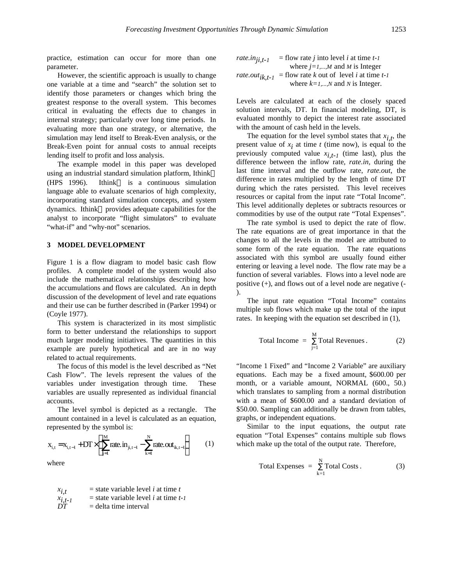practice, estimation can occur for more than one parameter.

However, the scientific approach is usually to change one variable at a time and "search" the solution set to identify those parameters or changes which bring the greatest response to the overall system. This becomes critical in evaluating the effects due to changes in internal strategy; particularly over long time periods. In evaluating more than one strategy, or alternative, the simulation may lend itself to Break-Even analysis, or the Break-Even point for annual costs to annual receipts lending itself to profit and loss analysis.

The example model in this paper was developed using an industrial standard simulation platform, Ithink<sup>™</sup> (HPS 1996). Ithink<sup>™</sup> is a continuous simulation language able to evaluate scenarios of high complexity, incorporating standard simulation concepts, and system dynamics. Ithink™ provides adequate capabilities for the analyst to incorporate "flight simulators" to evaluate "what-if" and "why-not" scenarios.

#### **3 MODEL DEVELOPMENT**

Figure 1 is a flow diagram to model basic cash flow profiles. A complete model of the system would also include the mathematical relationships describing how the accumulations and flows are calculated. An in depth discussion of the development of level and rate equations and their use can be further described in (Parker 1994) or (Coyle 1977).

This system is characterized in its most simplistic form to better understand the relationships to support much larger modeling initiatives. The quantities in this example are purely hypothetical and are in no way related to actual requirements.

The focus of this model is the level described as "Net Cash Flow". The levels represent the values of the variables under investigation through time. These variables are usually represented as individual financial accounts.

The level symbol is depicted as a rectangle. The amount contained in a level is calculated as an equation, represented by the symbol is:

$$
x_{i,t} = x_{i,t-1} + DT \times \left( \sum_{j=1}^{M} \text{rate. in}_{ji,t-1} - \sum_{k=1}^{N} \text{rate. out}_{ik,t-1} \right) \tag{1}
$$

where

| $x_{i,t}$   | = state variable level <i>i</i> at time <i>t</i>   |
|-------------|----------------------------------------------------|
| $x_{i,t-1}$ | = state variable level <i>i</i> at time <i>t-1</i> |
| $DT$        | = delta time interval                              |

rate.in<sub>ji,t-1</sub> = flow rate *j* into level *i* at time *t-1*  
where 
$$
j=1,...,M
$$
 and *M* is Integer  
rate.out<sub>ik,t-1</sub> = flow rate *k* out of level *i* at time *t-1*  
where  $k=1,...,N$  and *N* is Integer.

Levels are calculated at each of the closely spaced solution intervals, DT. In financial modeling, DT, is evaluated monthly to depict the interest rate associated with the amount of cash held in the levels.

The equation for the level symbol states that  $x_{i,t}$ , the present value of  $x_i$  at time  $t$  (time now), is equal to the previously computed value  $x_{i,t-1}$  (time last), plus the difference between the inflow rate, *rate.in,* during the last time interval and the outflow rate, *rate.out*, the difference in rates multiplied by the length of time DT during which the rates persisted. This level receives resources or capital from the input rate "Total Income". This level additionally depletes or subtracts resources or commodities by use of the output rate "Total Expenses".

The rate symbol is used to depict the rate of flow. The rate equations are of great importance in that the changes to all the levels in the model are attributed to some form of the rate equation. The rate equations associated with this symbol are usually found either entering or leaving a level node. The flow rate may be a function of several variables. Flows into a level node are positive (+), and flows out of a level node are negative (- ).

The input rate equation "Total Income" contains multiple sub flows which make up the total of the input rates. In keeping with the equation set described in (1),

Total Income = 
$$
\sum_{j=1}^{M} \text{Total Revenues}
$$
. (2)

"Income 1 Fixed" and "Income 2 Variable" are auxiliary equations. Each may be a fixed amount, \$600.00 per month, or a variable amount, NORMAL (600., 50.) which translates to sampling from a normal distribution with a mean of \$600.00 and a standard deviation of \$50.00. Sampling can additionally be drawn from tables, graphs, or independent equations.

Similar to the input equations, the output rate equation "Total Expenses" contains multiple sub flows which make up the total of the output rate. Therefore,

$$
Total Expenses = \sum_{k=1}^{N} Total Costs.
$$
 (3)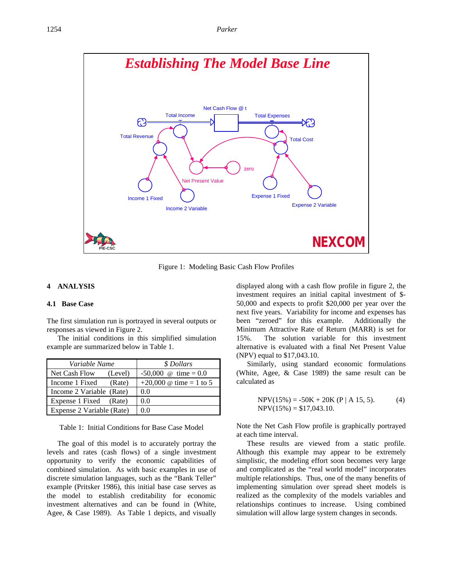

Figure 1: Modeling Basic Cash Flow Profiles

#### **4 ANALYSIS**

## **4.1 Base Case**

The first simulation run is portrayed in several outputs or responses as viewed in Figure 2.

The initial conditions in this simplified simulation example are summarized below in Table 1.

| Variable Name             | \$ Dollars                     |
|---------------------------|--------------------------------|
| Net Cash Flow<br>(Level)  | $-50,000$ @ time = 0.0         |
| Income 1 Fixed<br>(Rate)  | +20,000 $\omega$ time = 1 to 5 |
| Income 2 Variable (Rate)  | 0.0                            |
| Expense 1 Fixed (Rate)    | 0.0                            |
| Expense 2 Variable (Rate) | 00                             |

Table 1: Initial Conditions for Base Case Model

The goal of this model is to accurately portray the levels and rates (cash flows) of a single investment opportunity to verify the economic capabilities of combined simulation. As with basic examples in use of discrete simulation languages, such as the "Bank Teller" example (Pritsker 1986), this initial base case serves as the model to establish creditability for economic investment alternatives and can be found in (White, Agee, & Case 1989). As Table 1 depicts, and visually

displayed along with a cash flow profile in figure 2, the investment requires an initial capital investment of \$- 50,000 and expects to profit \$20,000 per year over the next five years. Variability for income and expenses has been "zeroed" for this example. Additionally the Minimum Attractive Rate of Return (MARR) is set for 15%. The solution variable for this investment alternative is evaluated with a final Net Present Value (NPV) equal to \$17,043.10.

Similarly, using standard economic formulations (White, Agee, & Case 1989) the same result can be calculated as

$$
NPV(15\%) = -50K + 20K (P | A 15, 5). \tag{4}
$$
  
NPV(15\%) = \$17,043.10.

Note the Net Cash Flow profile is graphically portrayed at each time interval.

These results are viewed from a static profile. Although this example may appear to be extremely simplistic, the modeling effort soon becomes very large and complicated as the "real world model" incorporates multiple relationships. Thus, one of the many benefits of implementing simulation over spread sheet models is realized as the complexity of the models variables and relationships continues to increase. Using combined simulation will allow large system changes in seconds.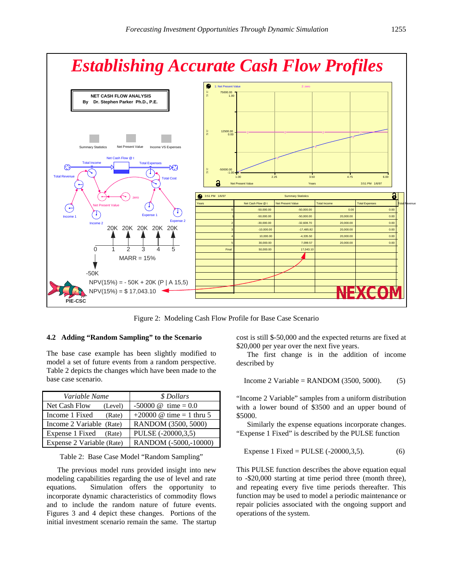



Figure 2: Modeling Cash Flow Profile for Base Case Scenario

# **4.2 Adding "Random Sampling" to the Scenario**

The base case example has been slightly modified to model a set of future events from a random perspective. Table 2 depicts the changes which have been made to the base case scenario.

| Variable Name             | \$ Dollars                                   |
|---------------------------|----------------------------------------------|
| Net Cash Flow<br>(Level)  | $-50000 \text{ } \textcircled{a}$ time = 0.0 |
| Income 1 Fixed<br>(Rate)  | +20000 $\omega$ time = 1 thru 5              |
| Income 2 Variable (Rate)  | RANDOM (3500, 5000)                          |
| Expense 1 Fixed<br>(Rate) | PULSE (-20000,3,5)                           |
| Expense 2 Variable (Rate) | RANDOM (-5000,-10000)                        |

Table 2: Base Case Model "Random Sampling"

The previous model runs provided insight into new modeling capabilities regarding the use of level and rate equations. Simulation offers the opportunity to incorporate dynamic characteristics of commodity flows and to include the random nature of future events. Figures 3 and 4 depict these changes. Portions of the initial investment scenario remain the same. The startup

cost is still \$-50,000 and the expected returns are fixed at \$20,000 per year over the next five years.

The first change is in the addition of income described by

$$
Income 2 Variable = RANDOM (3500, 5000). \tag{5}
$$

"Income 2 Variable" samples from a uniform distribution with a lower bound of \$3500 and an upper bound of \$5000.

Similarly the expense equations incorporate changes. "Expense 1 Fixed" is described by the PULSE function

Express 1 Fixed = PULSE (-20000, 3, 5). 
$$
(6)
$$

This PULSE function describes the above equation equal to -\$20,000 starting at time period three (month three), and repeating every five time periods thereafter. This function may be used to model a periodic maintenance or repair policies associated with the ongoing support and operations of the system.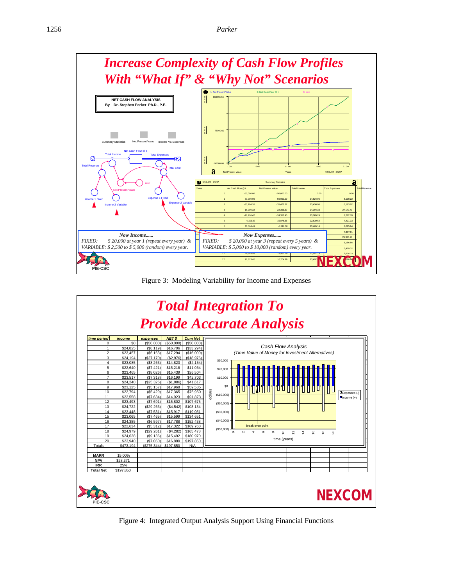

Figure 3: Modeling Variability for Income and Expenses



Figure 4: Integrated Output Analysis Support Using Financial Functions